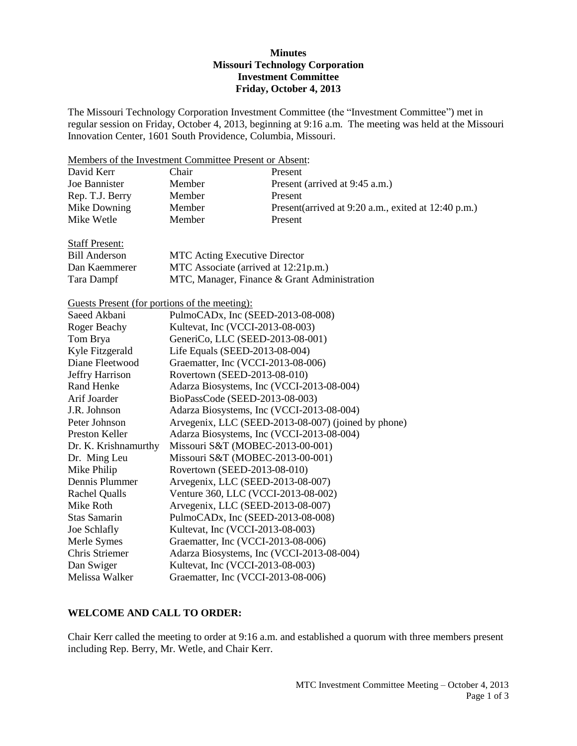## **Minutes Missouri Technology Corporation Investment Committee Friday, October 4, 2013**

The Missouri Technology Corporation Investment Committee (the "Investment Committee") met in regular session on Friday, October 4, 2013, beginning at 9:16 a.m. The meeting was held at the Missouri Innovation Center, 1601 South Providence, Columbia, Missouri.

Members of the Investment Committee Present or Absent:

| David Kerr      | Chair         | Present                                              |
|-----------------|---------------|------------------------------------------------------|
| Joe Bannister   | <b>Member</b> | Present (arrived at 9:45 a.m.)                       |
| Rep. T.J. Berry | <b>Member</b> | Present                                              |
| Mike Downing    | <b>Member</b> | Present (arrived at 9:20 a.m., exited at 12:40 p.m.) |
| Mike Wetle      | <b>Member</b> | Present                                              |
|                 |               |                                                      |

| <b>Staff Present:</b> |                                              |
|-----------------------|----------------------------------------------|
| Bill Anderson         | <b>MTC</b> Acting Executive Director         |
| Dan Kaemmerer         | MTC Associate (arrived at 12:21p.m.)         |
| Tara Dampf            | MTC, Manager, Finance & Grant Administration |

Guests Present (for portions of the meeting):

| Saeed Akbani         | PulmoCAD <sub>x</sub> , Inc (SEED-2013-08-008)      |
|----------------------|-----------------------------------------------------|
| Roger Beachy         | Kultevat, Inc (VCCI-2013-08-003)                    |
| Tom Brya             | GeneriCo, LLC (SEED-2013-08-001)                    |
| Kyle Fitzgerald      | Life Equals (SEED-2013-08-004)                      |
| Diane Fleetwood      | Graematter, Inc (VCCI-2013-08-006)                  |
| Jeffry Harrison      | Rovertown (SEED-2013-08-010)                        |
| Rand Henke           | Adarza Biosystems, Inc (VCCI-2013-08-004)           |
| Arif Joarder         | BioPassCode (SEED-2013-08-003)                      |
| J.R. Johnson         | Adarza Biosystems, Inc (VCCI-2013-08-004)           |
| Peter Johnson        | Arvegenix, LLC (SEED-2013-08-007) (joined by phone) |
| Preston Keller       | Adarza Biosystems, Inc (VCCI-2013-08-004)           |
| Dr. K. Krishnamurthy | Missouri S&T (MOBEC-2013-00-001)                    |
| Dr. Ming Leu         | Missouri S&T (MOBEC-2013-00-001)                    |
| Mike Philip          | Rovertown (SEED-2013-08-010)                        |
| Dennis Plummer       | Arvegenix, LLC (SEED-2013-08-007)                   |
| <b>Rachel Qualls</b> | Venture 360, LLC (VCCI-2013-08-002)                 |
| Mike Roth            | Arvegenix, LLC (SEED-2013-08-007)                   |
| Stas Samarin         | PulmoCAD <sub>x</sub> , Inc (SEED-2013-08-008)      |
| Joe Schlafly         | Kultevat, Inc (VCCI-2013-08-003)                    |
| Merle Symes          | Graematter, Inc (VCCI-2013-08-006)                  |
| Chris Striemer       | Adarza Biosystems, Inc (VCCI-2013-08-004)           |
| Dan Swiger           | Kultevat, Inc (VCCI-2013-08-003)                    |
| Melissa Walker       | Graematter, Inc (VCCI-2013-08-006)                  |

## **WELCOME AND CALL TO ORDER:**

Chair Kerr called the meeting to order at 9:16 a.m. and established a quorum with three members present including Rep. Berry, Mr. Wetle, and Chair Kerr.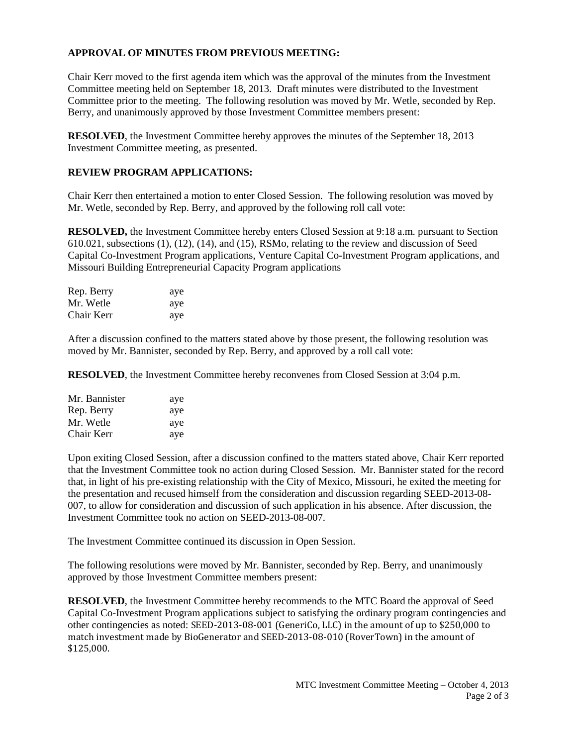# **APPROVAL OF MINUTES FROM PREVIOUS MEETING:**

Chair Kerr moved to the first agenda item which was the approval of the minutes from the Investment Committee meeting held on September 18, 2013. Draft minutes were distributed to the Investment Committee prior to the meeting. The following resolution was moved by Mr. Wetle, seconded by Rep. Berry, and unanimously approved by those Investment Committee members present:

**RESOLVED**, the Investment Committee hereby approves the minutes of the September 18, 2013 Investment Committee meeting, as presented.

# **REVIEW PROGRAM APPLICATIONS:**

Chair Kerr then entertained a motion to enter Closed Session. The following resolution was moved by Mr. Wetle, seconded by Rep. Berry, and approved by the following roll call vote:

**RESOLVED,** the Investment Committee hereby enters Closed Session at 9:18 a.m. pursuant to Section 610.021, subsections (1), (12), (14), and (15), RSMo, relating to the review and discussion of Seed Capital Co-Investment Program applications, Venture Capital Co-Investment Program applications, and Missouri Building Entrepreneurial Capacity Program applications

| Rep. Berry | aye |
|------------|-----|
| Mr. Wetle  | aye |
| Chair Kerr | aye |

After a discussion confined to the matters stated above by those present, the following resolution was moved by Mr. Bannister, seconded by Rep. Berry, and approved by a roll call vote:

**RESOLVED**, the Investment Committee hereby reconvenes from Closed Session at 3:04 p.m.

| Mr. Bannister | aye |
|---------------|-----|
| Rep. Berry    | aye |
| Mr. Wetle     | aye |
| Chair Kerr    | aye |

Upon exiting Closed Session, after a discussion confined to the matters stated above, Chair Kerr reported that the Investment Committee took no action during Closed Session. Mr. Bannister stated for the record that, in light of his pre-existing relationship with the City of Mexico, Missouri, he exited the meeting for the presentation and recused himself from the consideration and discussion regarding SEED-2013-08- 007, to allow for consideration and discussion of such application in his absence. After discussion, the Investment Committee took no action on SEED-2013-08-007.

The Investment Committee continued its discussion in Open Session.

The following resolutions were moved by Mr. Bannister, seconded by Rep. Berry, and unanimously approved by those Investment Committee members present:

**RESOLVED**, the Investment Committee hereby recommends to the MTC Board the approval of Seed Capital Co-Investment Program applications subject to satisfying the ordinary program contingencies and other contingencies as noted: SEED-2013-08-001 (GeneriCo, LLC) in the amount of up to \$250,000 to match investment made by BioGenerator and SEED-2013-08-010 (RoverTown) in the amount of \$125,000.